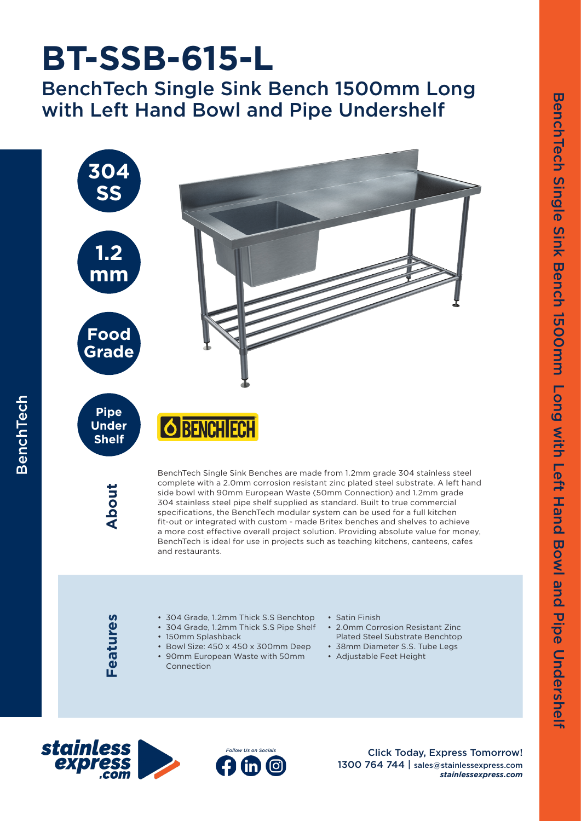## **BT-SSB-615-L**

BenchTech Single Sink Bench 1500mm Long with Left Hand Bowl and Pipe Undershelf



Features **Features**

- 304 Grade, 1.2mm Thick S.S Benchtop
- 304 Grade, 1.2mm Thick S.S Pipe Shelf
- 150mm Splashback
- Bowl Size: 450 x 450 x 300mm Deep • 90mm European Waste with 50mm
- Connection
- Satin Finish
- 2.0mm Corrosion Resistant Zinc Plated Steel Substrate Benchtop
- 38mm Diameter S.S. Tube Legs
- Adjustable Feet Height





Click Today, Express Tomorrow! 1300 764 744 | sales@stainlessexpress.com *stainlessexpress.com*